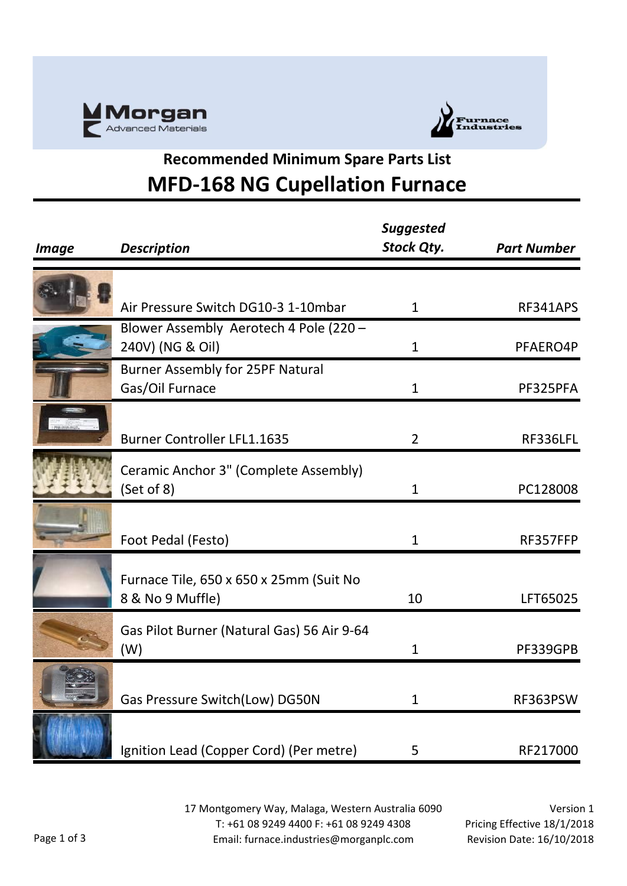



## **Recommended Minimum Spare Parts List MFD-168 NG Cupellation Furnace**

| <b>Image</b> | <b>Description</b>                                          | <b>Suggested</b><br><b>Stock Qty.</b> | <b>Part Number</b> |
|--------------|-------------------------------------------------------------|---------------------------------------|--------------------|
|              |                                                             |                                       |                    |
|              | Air Pressure Switch DG10-3 1-10mbar                         | $\mathbf{1}$                          | RF341APS           |
|              | Blower Assembly Aerotech 4 Pole (220 -<br>240V) (NG & Oil)  | $\mathbf{1}$                          | PFAERO4P           |
|              | <b>Burner Assembly for 25PF Natural</b><br>Gas/Oil Furnace  | $\mathbf{1}$                          | PF325PFA           |
|              | <b>Burner Controller LFL1.1635</b>                          | $\overline{2}$                        | RF336LFL           |
|              | Ceramic Anchor 3" (Complete Assembly)<br>(Set of 8)         | $\mathbf{1}$                          | PC128008           |
|              | Foot Pedal (Festo)                                          | $\mathbf{1}$                          | RF357FFP           |
|              | Furnace Tile, 650 x 650 x 25mm (Suit No<br>8 & No 9 Muffle) | 10                                    | LFT65025           |
|              | Gas Pilot Burner (Natural Gas) 56 Air 9-64<br>(W)           | $\mathbf{1}$                          | PF339GPB           |
|              | Gas Pressure Switch(Low) DG50N                              | $\mathbf{1}$                          | RF363PSW           |
|              | Ignition Lead (Copper Cord) (Per metre)                     | 5                                     | RF217000           |

17 Montgomery Way, Malaga, Western Australia 6090 T: +61 08 9249 4400 F: +61 08 9249 4308 Email: furnace.industries@morganplc.com

Version 1 Pricing Effective 18/1/2018 Revision Date: 16/10/2018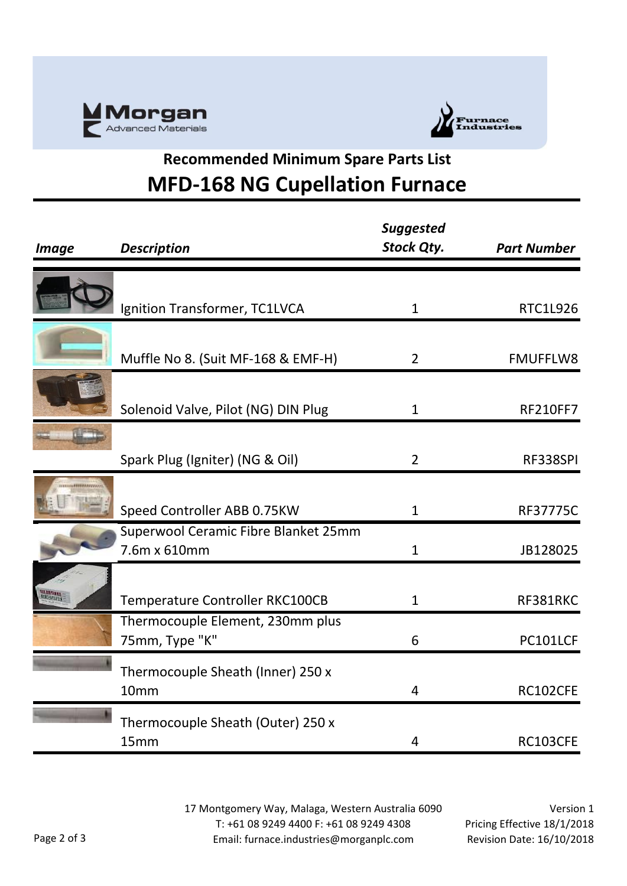



## **Recommended Minimum Spare Parts List MFD-168 NG Cupellation Furnace**

| <b>Image</b>          | <b>Description</b>                   | <b>Suggested</b><br><b>Stock Qty.</b> | <b>Part Number</b> |
|-----------------------|--------------------------------------|---------------------------------------|--------------------|
|                       |                                      |                                       |                    |
|                       | Ignition Transformer, TC1LVCA        | $\mathbf{1}$                          | RTC1L926           |
|                       |                                      |                                       |                    |
|                       | Muffle No 8. (Suit MF-168 & EMF-H)   | $\overline{2}$                        | <b>FMUFFLW8</b>    |
|                       |                                      |                                       |                    |
|                       | Solenoid Valve, Pilot (NG) DIN Plug  | $\mathbf{1}$                          | <b>RF210FF7</b>    |
|                       |                                      |                                       |                    |
|                       | Spark Plug (Igniter) (NG & Oil)      | $\overline{2}$                        | RF338SPI           |
| <b>ALENTERMANYOLO</b> |                                      |                                       |                    |
|                       | Speed Controller ABB 0.75KW          | $\mathbf{1}$                          | <b>RF37775C</b>    |
|                       | Superwool Ceramic Fibre Blanket 25mm |                                       |                    |
|                       | 7.6m x 610mm                         | $\mathbf{1}$                          | JB128025           |
|                       |                                      |                                       |                    |
|                       | Temperature Controller RKC100CB      | $\mathbf{1}$                          | RF381RKC           |
|                       | Thermocouple Element, 230mm plus     |                                       |                    |
|                       | 75mm, Type "K"                       | 6                                     | PC101LCF           |
|                       | Thermocouple Sheath (Inner) 250 x    |                                       |                    |
|                       | 10mm                                 | 4                                     | RC102CFE           |
|                       | Thermocouple Sheath (Outer) 250 x    |                                       |                    |
|                       | 15mm                                 | 4                                     | <b>RC103CFE</b>    |